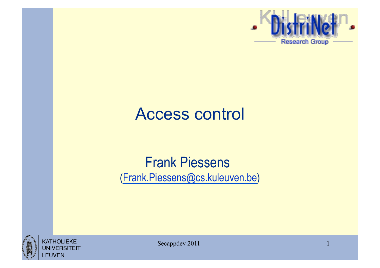

#### Access control

#### Frank Piessens (Frank.Piessens@cs.kuleuven.be)



Secappdev 2011 1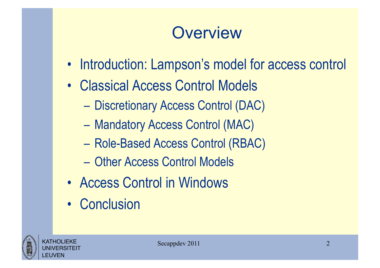## **Overview**

- Introduction: Lampson's model for access control
- Classical Access Control Models
	- Discretionary Access Control (DAC)
	- Mandatory Access Control (MAC)
	- Role-Based Access Control (RBAC)
	- Other Access Control Models
- Access Control in Windows
- Conclusion

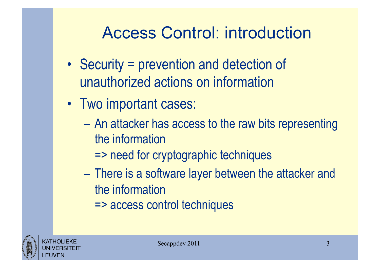## Access Control: introduction

- Security = prevention and detection of unauthorized actions on information
- Two important cases:
	- An attacker has access to the raw bits representing the information
		- => need for cryptographic techniques
	- There is a software layer between the attacker and the information
		- => access control techniques

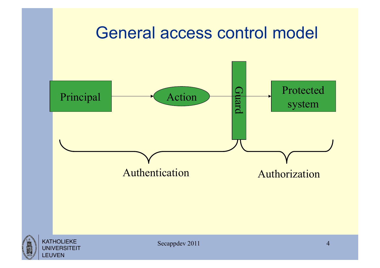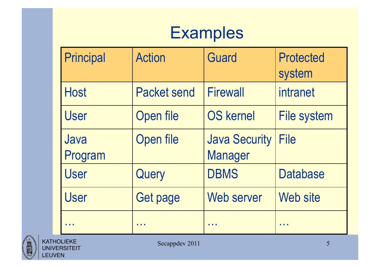## **Examples**

| <b>Principal</b> | <b>Action</b>      | <b>Guard</b>                           | <b>Protected</b><br>system |
|------------------|--------------------|----------------------------------------|----------------------------|
| <b>Host</b>      | <b>Packet send</b> | <b>Firewall</b>                        | intranet                   |
| <b>User</b>      | Open file          | <b>OS kernel</b>                       | <b>File system</b>         |
| Java<br>Program  | Open file          | <b>Java Security</b><br><b>Manager</b> | <b>File</b>                |
| <b>User</b>      | Query              | <b>DBMS</b>                            | <b>Database</b>            |
| <b>User</b>      | Get page           | Web server                             | Web site                   |
|                  |                    |                                        |                            |

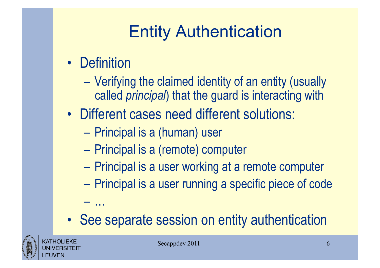# Entity Authentication

• Definition

– …

- Verifying the claimed identity of an entity (usually called *principal*) that the guard is interacting with
- Different cases need different solutions:
	- Principal is a (human) user
	- Principal is a (remote) computer
	- Principal is a user working at a remote computer
	- Principal is a user running a specific piece of code
- See separate session on entity authentication

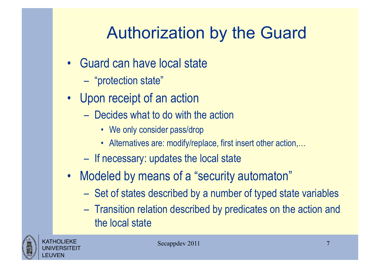# Authorization by the Guard

- Guard can have local state
	- "protection state"
- Upon receipt of an action
	- Decides what to do with the action
		- We only consider pass/drop
		- Alternatives are: modify/replace, first insert other action,...
	- If necessary: updates the local state
- Modeled by means of a "security automaton"
	- Set of states described by a number of typed state variables
	- Transition relation described by predicates on the action and the local state

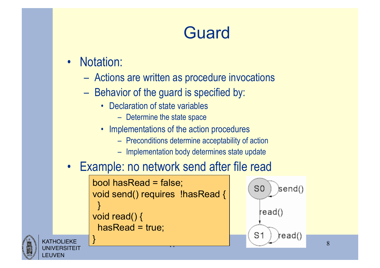# Guard

• Notation:

}

- Actions are written as procedure invocations
- Behavior of the guard is specified by:
	- Declaration of state variables
		- Determine the state space
	- Implementations of the action procedures
		- Preconditions determine acceptability of action
		- Implementation body determines state update

#### • Example: no network send after file read

```
bool hasRead = false; 
void send() requires !hasRead { 
 } 
void read() { 
  hasRead = true;
```


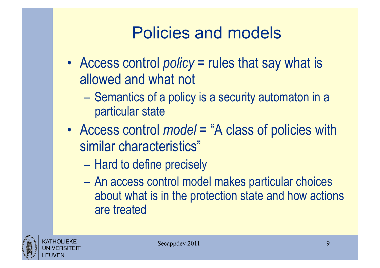## Policies and models

- Access control *policy* = rules that say what is allowed and what not
	- Semantics of a policy is a security automaton in a particular state
- Access control *model* = "A class of policies with similar characteristics"
	- Hard to define precisely
	- An access control model makes particular choices about what is in the protection state and how actions are treated

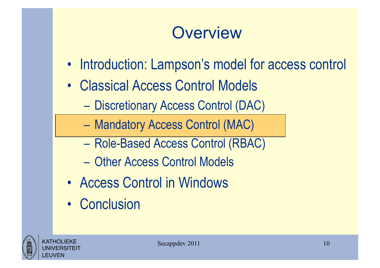## **Overview**

- Introduction: Lampson's model for access control
- Classical Access Control Models
	- Discretionary Access Control (DAC)
	- Mandatory Access Control (MAC)
	- Role-Based Access Control (RBAC)
	- Other Access Control Models
- Access Control in Windows
- Conclusion

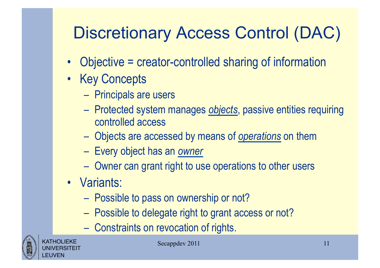# Discretionary Access Control (DAC)

- Objective = creator-controlled sharing of information
- Key Concepts
	- Principals are users
	- Protected system manages *objects*, passive entities requiring controlled access
	- Objects are accessed by means of *operations* on them
	- Every object has an *owner*
	- Owner can grant right to use operations to other users
- Variants:
	- Possible to pass on ownership or not?
	- Possible to delegate right to grant access or not?
	- Constraints on revocation of rights.



KATHOLIEKE UNIVERSITEIT LEUVEN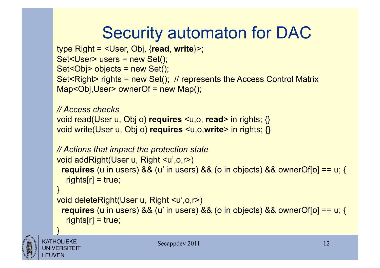# Security automaton for DAC

```
type Right = <User, Obj, {read, write}>; 
Set<User> users = new Set(); 
Set<Obj> objects = new Set(); 
Set<Right> rights = new Set(); // represents the Access Control Matrix
Map<Obj,User> ownerOf = new Map();
```

```
// Access checks 
void read(User u, Obj o) requires <u,o, read> in rights; {} 
void write(User u, Obj o) requires <u,o,write> in rights; {}
```

```
// Actions that impact the protection state 
void addRight(User u, Right <u',o,r>) 
  requires (u in users) && (u' in users) && (o in objects) && ownerOf[o] == u; { 
  rights[r] = true;}
```

```
void deleteRight(User u, Right <u',o,r>) 
  requires (u in users) && (u' in users) && (o in objects) && ownerOf[o] == u; { 
  rights[r] = true;
```


}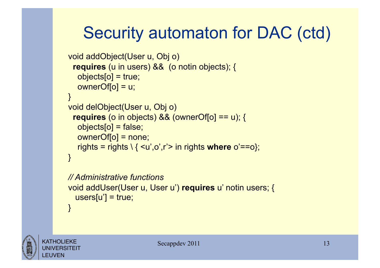# Security automaton for DAC (ctd)

```
void addObject(User u, Obj o) 
  requires (u in users) && (o notin objects); { 
   objects[o] = true; 
   ownerOf[o] = u; 
} 
void delObject(User u, Obj o) 
  requires (o in objects) && (ownerOf[o] == u); { 
  objects[<math>o</math>] = false; ownerOf[o] = none; 
   rights = rights \ { <u',o',r'> in rights where o'==o}; 
} 
// Administrative functions
```

```
void addUser(User u, User u') requires u' notin users; { 
 users[u'] = true;}
```
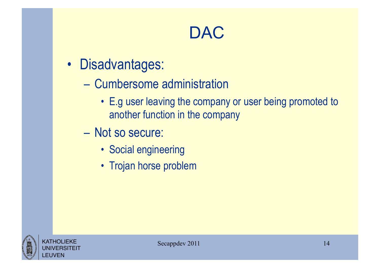## DAC

- Disadvantages:
	- Cumbersome administration
		- E.g user leaving the company or user being promoted to another function in the company
	- Not so secure:
		- Social engineering
		- Trojan horse problem

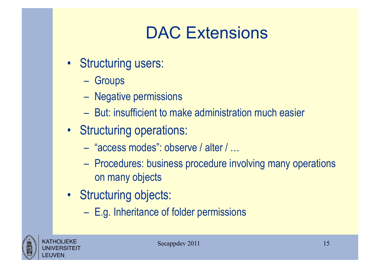## DAC Extensions

- Structuring users:
	- Groups
	- Negative permissions
	- But: insufficient to make administration much easier
- Structuring operations:
	- "access modes": observe / alter / …
	- Procedures: business procedure involving many operations on many objects
- Structuring objects:
	- E.g. Inheritance of folder permissions

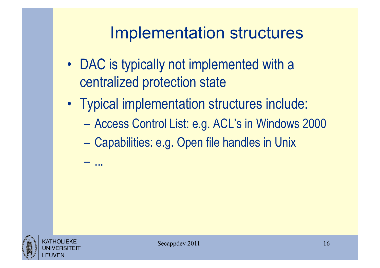#### Implementation structures

- DAC is typically not implemented with a centralized protection state
- Typical implementation structures include:
	- Access Control List: e.g. ACL's in Windows 2000
	- Capabilities: e.g. Open file handles in Unix



– ...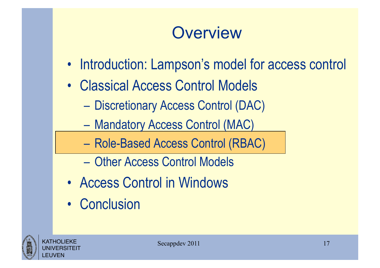## **Overview**

- Introduction: Lampson's model for access control
- Classical Access Control Models
	- Discretionary Access Control (DAC)
	- Mandatory Access Control (MAC)
	- Role-Based Access Control (RBAC)
	- Other Access Control Models
- Access Control in Windows
- Conclusion

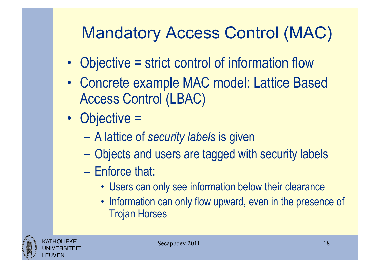# Mandatory Access Control (MAC)

- Objective = strict control of information flow
- Concrete example MAC model: Lattice Based Access Control (LBAC)
- Objective =
	- A lattice of *security labels* is given
	- Objects and users are tagged with security labels
	- Enforce that:
		- Users can only see information below their clearance
		- Information can only flow upward, even in the presence of Trojan Horses

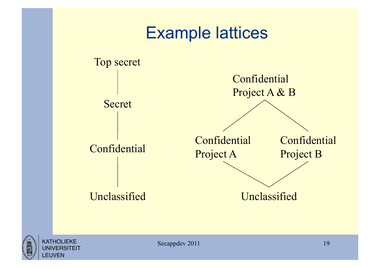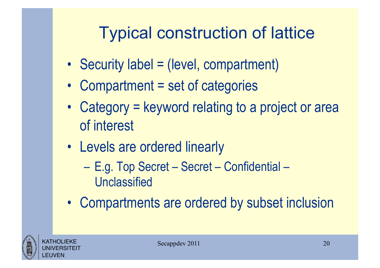# Typical construction of lattice

- Security label = (level, compartment)
- Compartment = set of categories
- Category = keyword relating to a project or area of interest
- Levels are ordered linearly
	- E.g. Top Secret Secret Confidential **Unclassified**
- Compartments are ordered by subset inclusion

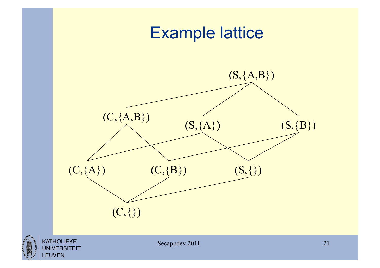

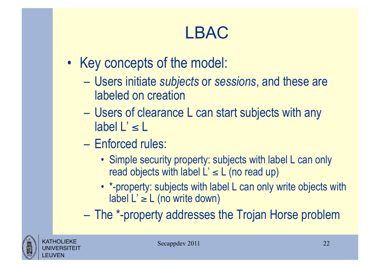## LBAC

- Key concepts of the model:
	- Users initiate *subjects* or *sessions*, and these are labeled on creation
	- Users of clearance L can start subjects with any  $label L' \leq L$
	- Enforced rules:
		- Simple security property: subjects with label L can only read objects with label  $L' \le L$  (no read up)
		- \*-property: subjects with label L can only write objects with label  $L' \ge L$  (no write down)
	- The \*-property addresses the Trojan Horse problem

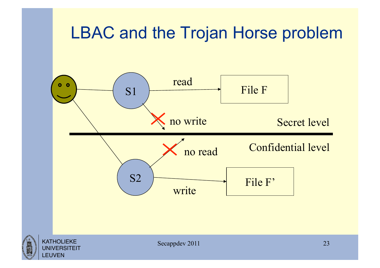#### LBAC and the Trojan Horse problem

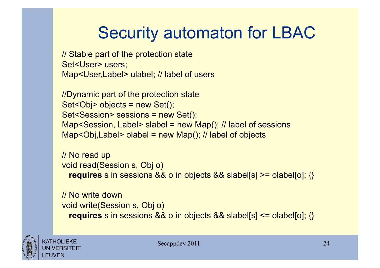# Security automaton for LBAC

// Stable part of the protection state Set<User> users; Map<User,Label> ulabel; // label of users

//Dynamic part of the protection state Set<Obj> objects = new Set(); Set<Session> sessions = new Set(); Map<Session, Label> slabel = new Map(); // label of sessions Map<Obj, Label > olabel = new Map(); // label of objects

```
// No read up 
void read(Session s, Obj o) 
   requires s in sessions && o in objects && slabel[s] >= olabel[o]; {}
```
// No write down void write(Session s, Obj o) **requires** s in sessions && o in objects && slabel[s] <= olabel[o]; {}

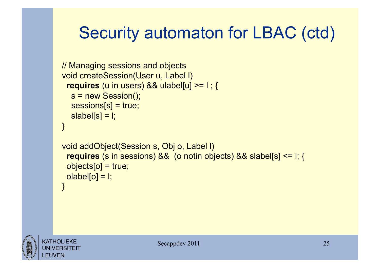## Security automaton for LBAC (ctd)

```
// Managing sessions and objects 
void createSession(User u, Label l) 
  requires (u in users) && ulabel[u] >= l ; { 
   s = new Session(); 
   sessions[s] = true; 
  slabel[s] = I;
} 
void addObject(Session s, Obj o, Label l) 
  requires (s in sessions) && (o notin objects) && slabel[s] <= l; { 
  objects[o] = true; 
 olabel[<sub>o</sub>] = 1;}
```
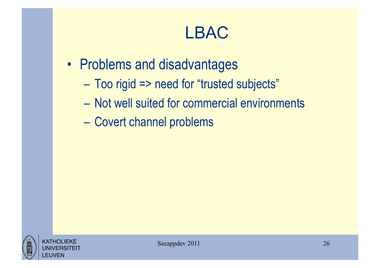#### LBAC

- Problems and disadvantages
	- Too rigid => need for "trusted subjects"
	- Not well suited for commercial environments
	- Covert channel problems

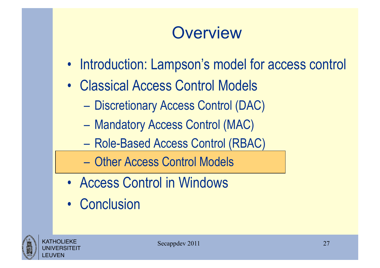## **Overview**

- Introduction: Lampson's model for access control
- Classical Access Control Models
	- Discretionary Access Control (DAC)
	- Mandatory Access Control (MAC)
	- Role-Based Access Control (RBAC)
	- Other Access Control Models
- Access Control in Windows
- Conclusion

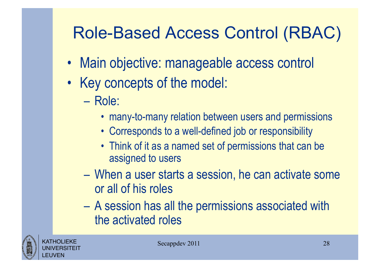## Role-Based Access Control (RBAC)

- Main objective: manageable access control
- Key concepts of the model:
	- Role:
		- many-to-many relation between users and permissions
		- Corresponds to a well-defined job or responsibility
		- Think of it as a named set of permissions that can be assigned to users
	- When a user starts a session, he can activate some or all of his roles
	- A session has all the permissions associated with the activated roles

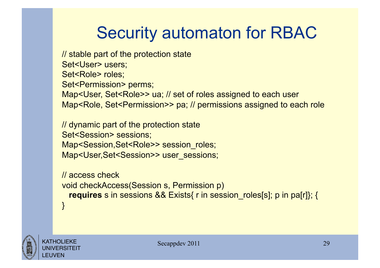# Security automaton for RBAC

// stable part of the protection state Set<User> users; Set<Role> roles; Set<Permission> perms; Map<User, Set<Role>> ua; // set of roles assigned to each user Map<Role, Set<Permission>> pa; // permissions assigned to each role

// dynamic part of the protection state Set<Session> sessions; Map<Session, Set<Role>> session\_roles; Map<User,Set<Session>> user\_sessions;

// access check void checkAccess(Session s, Permission p) **requires** s in sessions && Exists{ r in session roles[s]; p in pa[r]}; { }

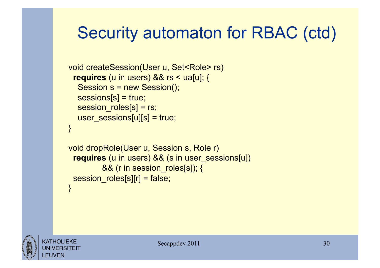### Security automaton for RBAC (ctd)

```
void createSession(User u, Set<Role> rs)
  requires (u in users) && rs < ua[u]; { 
   Session s = new Session(); 
   sessions[s] = true; 
   session_roles[s] = rs; 
  user_sessions[u][s] = true;
}
```

```
void dropRole(User u, Session s, Role r) 
  requires (u in users) && (s in user_sessions[u]) 
         && (r in session_roles[s]); { 
  session_roles[s][r] = false; 
}
```
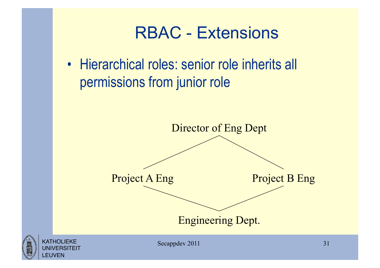#### RBAC - Extensions

• Hierarchical roles: senior role inherits all permissions from junior role



**FUVEN**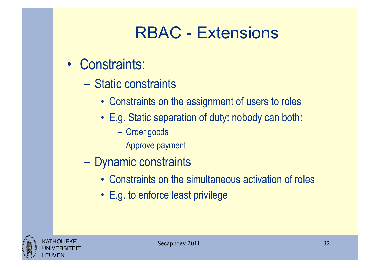#### RBAC - Extensions

- Constraints:
	- Static constraints
		- Constraints on the assignment of users to roles
		- E.g. Static separation of duty: nobody can both:
			- Order goods
			- Approve payment
	- Dynamic constraints
		- Constraints on the simultaneous activation of roles
		- E.g. to enforce least privilege

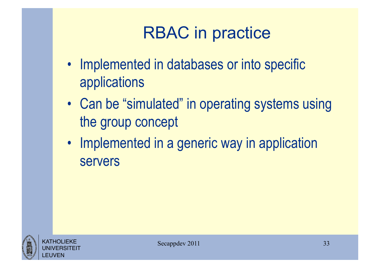# RBAC in practice

- Implemented in databases or into specific applications
- Can be "simulated" in operating systems using the group concept
- Implemented in a generic way in application servers

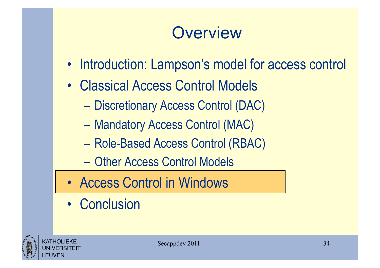## **Overview**

- Introduction: Lampson's model for access control
- Classical Access Control Models
	- Discretionary Access Control (DAC)
	- Mandatory Access Control (MAC)
	- Role-Based Access Control (RBAC)
	- Other Access Control Models
- Access Control in Windows
- Conclusion

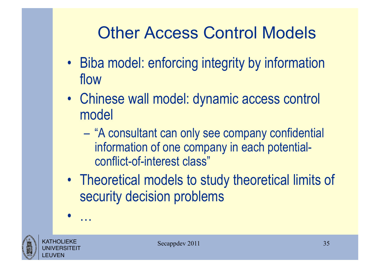## Other Access Control Models

- Biba model: enforcing integrity by information flow
- Chinese wall model: dynamic access control model
	- "A consultant can only see company confidential information of one company in each potentialconflict-of-interest class"
- Theoretical models to study theoretical limits of security decision problems



• …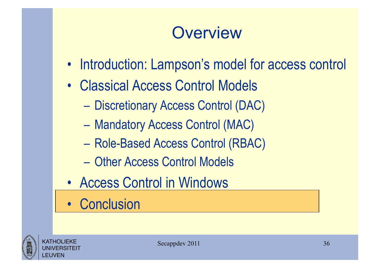## **Overview**

- Introduction: Lampson's model for access control
- Classical Access Control Models
	- Discretionary Access Control (DAC)
	- Mandatory Access Control (MAC)
	- Role-Based Access Control (RBAC)
	- Other Access Control Models
- Access Control in Windows
- Conclusion

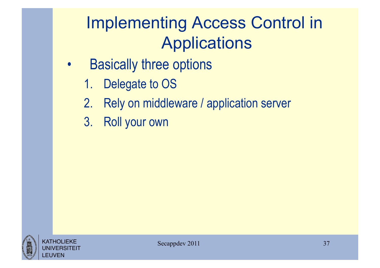# Implementing Access Control in Applications

- Basically three options
	- 1. Delegate to OS
	- 2. Rely on middleware / application server
	- 3. Roll your own

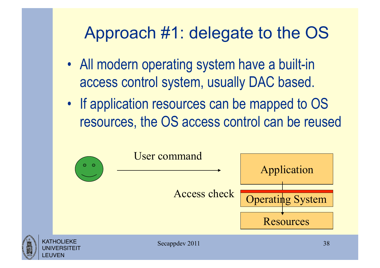#### Approach #1: delegate to the OS

- All modern operating system have a built-in access control system, usually DAC based.
- If application resources can be mapped to OS resources, the OS access control can be reused

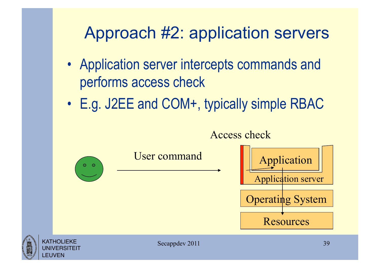#### Approach #2: application servers

- Application server intercepts commands and performs access check
- E.g. J2EE and COM+, typically simple RBAC

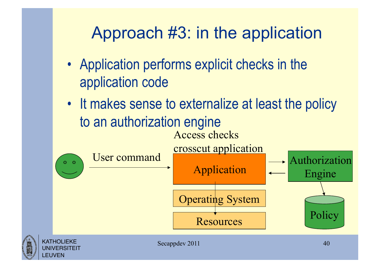### Approach #3: in the application

- Application performs explicit checks in the application code
- It makes sense to externalize at least the policy to an authorization engine Access checks

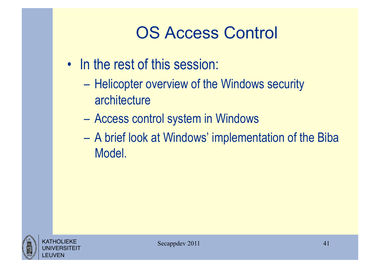## OS Access Control

- In the rest of this session:
	- Helicopter overview of the Windows security architecture
	- Access control system in Windows
	- A brief look at Windows' implementation of the Biba Model.

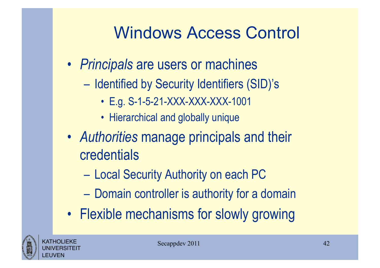- *Principals* are users or machines
	- Identified by Security Identifiers (SID)'s
		- E.g. S-1-5-21-XXX-XXX-XXX-1001
		- Hierarchical and globally unique
- *Authorities* manage principals and their credentials
	- Local Security Authority on each PC
	- Domain controller is authority for a domain
- Flexible mechanisms for slowly growing

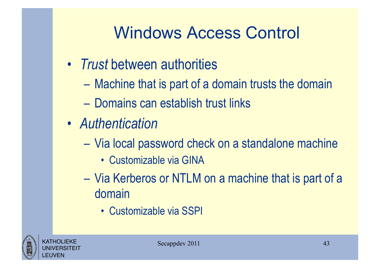- *Trust* between authorities
	- Machine that is part of a domain trusts the domain
	- Domains can establish trust links
- *Authentication* 
	- Via local password check on a standalone machine
		- Customizable via GINA
	- Via Kerberos or NTLM on a machine that is part of a domain
		- Customizable via SSPI

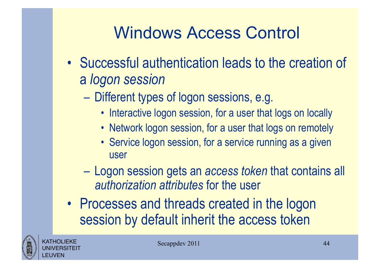- Successful authentication leads to the creation of a *logon session*
	- Different types of logon sessions, e.g.
		- Interactive logon session, for a user that logs on locally
		- Network logon session, for a user that logs on remotely
		- Service logon session, for a service running as a given user
	- Logon session gets an *access token* that contains all *authorization attributes* for the user
- Processes and threads created in the logon session by default inherit the access token

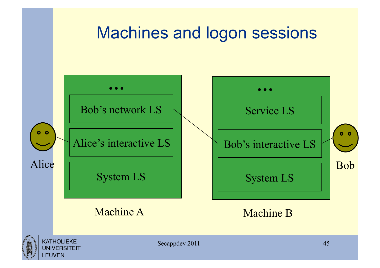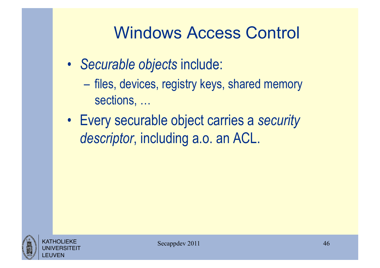- *Securable objects* include:
	- files, devices, registry keys, shared memory sections, …
- Every securable object carries a *security descriptor*, including a.o. an ACL.

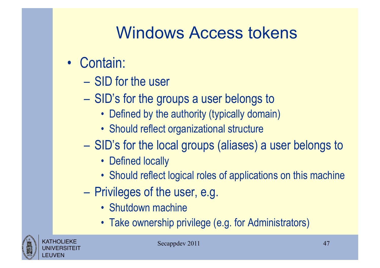## Windows Access tokens

- Contain:
	- SID for the user
	- SID's for the groups a user belongs to
		- Defined by the authority (typically domain)
		- Should reflect organizational structure
	- SID's for the local groups (aliases) a user belongs to
		- Defined locally
		- Should reflect logical roles of applications on this machine
	- Privileges of the user, e.g.
		- Shutdown machine
		- Take ownership privilege (e.g. for Administrators)

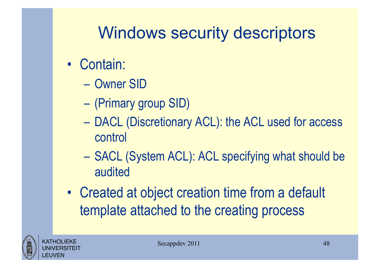## Windows security descriptors

- Contain:
	- Owner SID
	- (Primary group SID)
	- DACL (Discretionary ACL): the ACL used for access control
	- SACL (System ACL): ACL specifying what should be audited
- Created at object creation time from a default template attached to the creating process

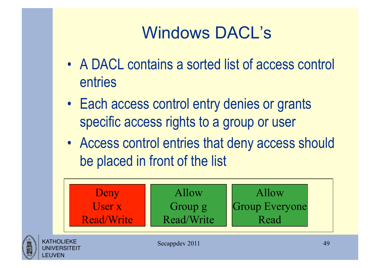## Windows DACL's

- A DACL contains a sorted list of access control entries
- Each access control entry denies or grants specific access rights to a group or user
- Access control entries that deny access should be placed in front of the list

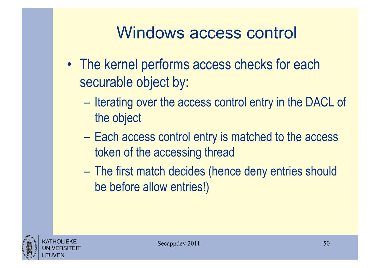- The kernel performs access checks for each securable object by:
	- Iterating over the access control entry in the DACL of the object
	- Each access control entry is matched to the access token of the accessing thread
	- The first match decides (hence deny entries should be before allow entries!)

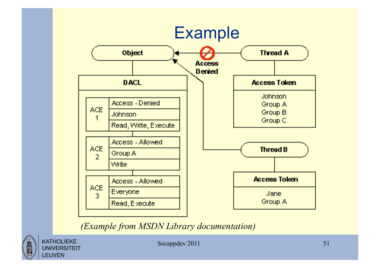

*(Example from MSDN Library documentation)* 



KATHOLIEKE **UNIVERSITEIT** LEUVEN

Secappdev 2011 51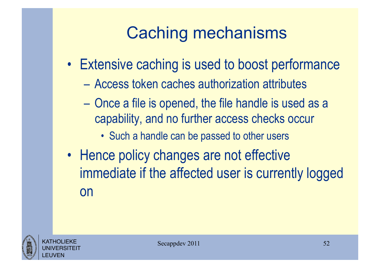# Caching mechanisms

- Extensive caching is used to boost performance
	- Access token caches authorization attributes
	- Once a file is opened, the file handle is used as a capability, and no further access checks occur
		- Such a handle can be passed to other users
- Hence policy changes are not effective immediate if the affected user is currently logged on

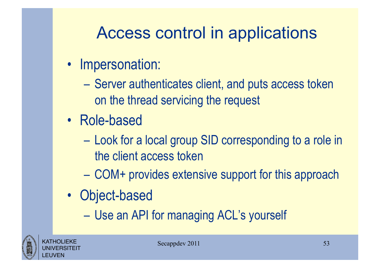## Access control in applications

- Impersonation:
	- Server authenticates client, and puts access token on the thread servicing the request
- Role-based
	- Look for a local group SID corresponding to a role in the client access token
	- COM+ provides extensive support for this approach
- Object-based
	- Use an API for managing ACL's yourself

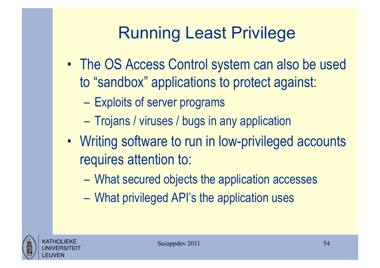# Running Least Privilege

- The OS Access Control system can also be used to "sandbox" applications to protect against:
	- Exploits of server programs
	- Trojans / viruses / bugs in any application
- Writing software to run in low-privileged accounts requires attention to:
	- What secured objects the application accesses
	- What privileged API's the application uses

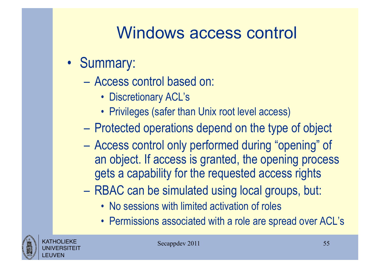- Summary:
	- Access control based on:
		- Discretionary ACL's
		- Privileges (safer than Unix root level access)
	- Protected operations depend on the type of object
	- Access control only performed during "opening" of an object. If access is granted, the opening process gets a capability for the requested access rights
	- RBAC can be simulated using local groups, but:
		- No sessions with limited activation of roles
		- Permissions associated with a role are spread over ACL's

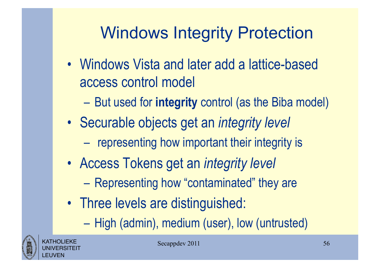# Windows Integrity Protection

- Windows Vista and later add a lattice-based access control model
	- But used for **integrity** control (as the Biba model)
- Securable objects get an *integrity level* 
	- representing how important their integrity is
- Access Tokens get an *integrity level* 
	- Representing how "contaminated" they are
- Three levels are distinguished:
	- High (admin), medium (user), low (untrusted)

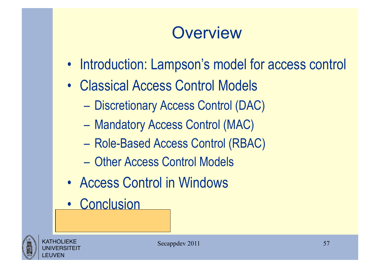## **Overview**

- Introduction: Lampson's model for access control
- Classical Access Control Models
	- Discretionary Access Control (DAC)
	- Mandatory Access Control (MAC)
	- Role-Based Access Control (RBAC)
	- Other Access Control Models
- Access Control in Windows
- Conclusion